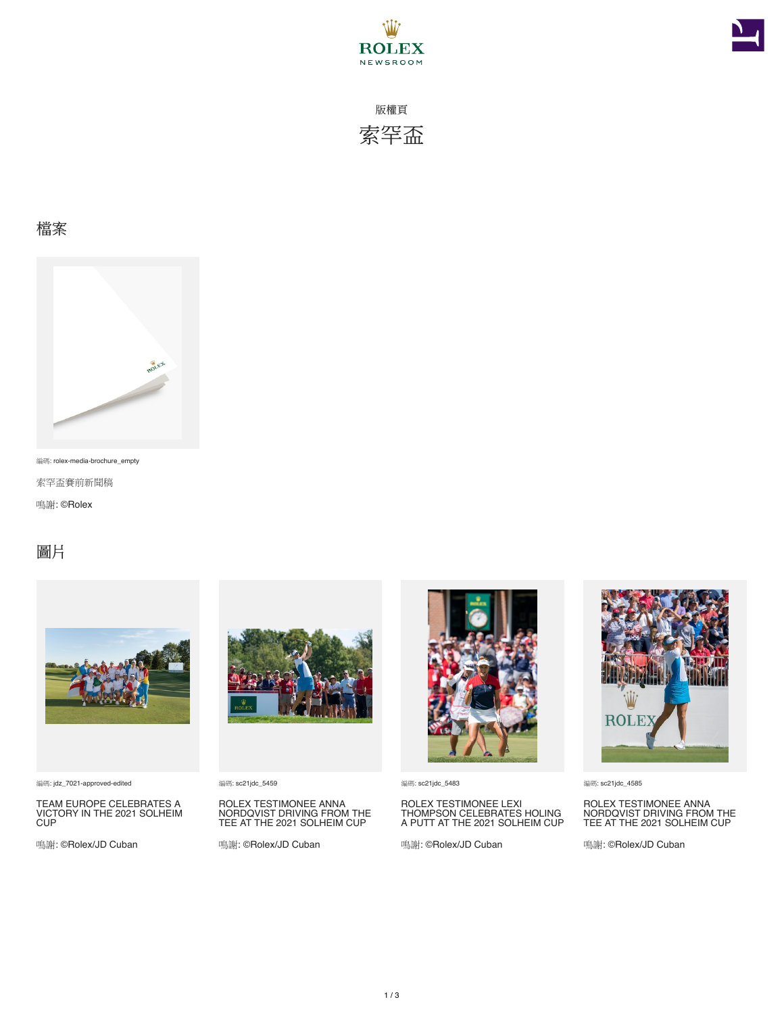



版權頁 索罕盃

## 檔案



編碼: rolex-media-brochure\_empty

索罕盃賽前新聞稿

鳴謝: ©Rolex

## 圖片



編碼: jdz\_7021-approved-edited

TEAM EUROPE CELEBRATES A VICTORY IN THE 2021 SOLHEIM CUP

鳴謝: ©Rolex/JD Cuban



編碼: sc21jdc\_5459

ROLEX TESTIMONEE ANNA NORDQVIST DRIVING FROM THE TEE AT THE 2021 SOLHEIM CUP

鳴謝: ©Rolex/JD Cuban



編碼: sc21jdc\_5483

ROLEX TESTIMONEE LEXI THOMPSON CELEBRATES HOLING A PUTT AT THE 2021 SOLHEIM CUP

鳴謝: ©Rolex/JD Cuban



編碼: sc21jdc\_4585

ROLEX TESTIMONEE ANNA NORDQVIST DRIVING FROM THE TEE AT THE 2021 SOLHEIM CUP

鳴謝: ©Rolex/JD Cuban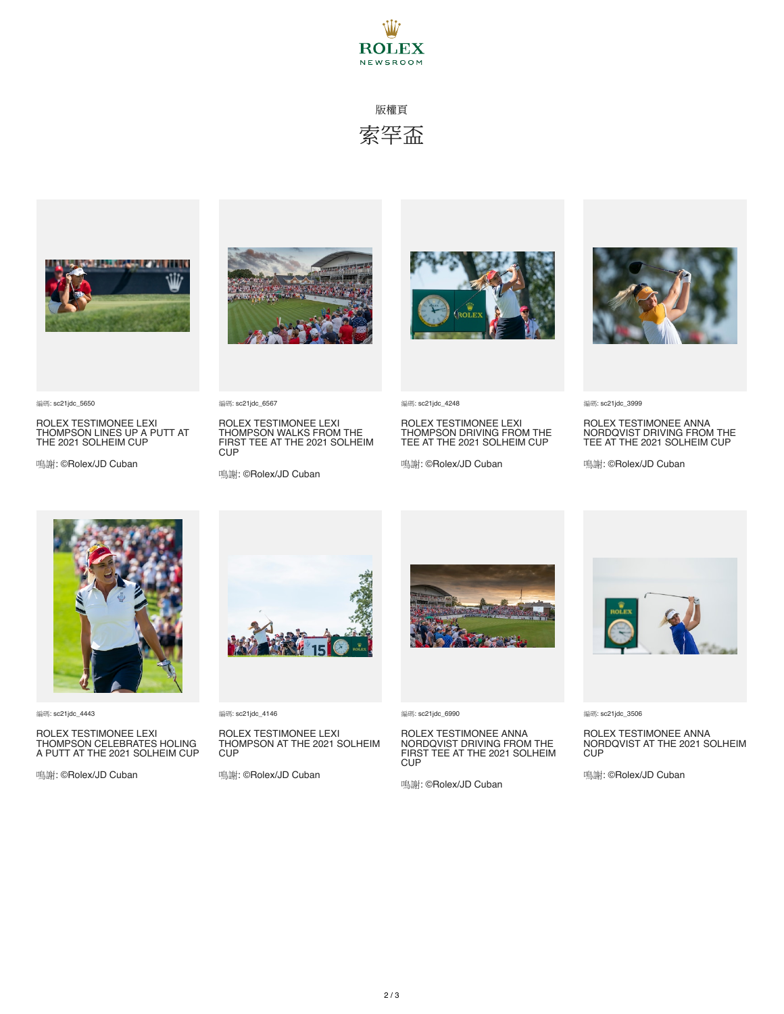

## 版權頁 索罕盃



ROLEX TESTIMONEE LEXI THOMPSON LINES UP A PUTT AT THE 2021 SOLHEIM CUP

鳴謝: ©Rolex/JD Cuban



ROLEX TESTIMONEE LEXI THOMPSON WALKS FROM THE FIRST TEE AT THE 2021 SOLHEIM

鳴謝: ©Rolex/JD Cuban

編碼: sc21jdc\_6567

**CUP** 



編碼: sc21jdc\_4248

ROLEX TESTIMONEE LEXI THOMPSON DRIVING FROM THE TEE AT THE 2021 SOLHEIM CUP

鳴謝: ©Rolex/JD Cuban



ROLEX TESTIMONEE ANNA NORDQVIST DRIVING FROM THE TEE AT THE 2021 SOLHEIM CUP

鳴謝: ©Rolex/JD Cuban



編碼: sc21jdc\_4443

編碼: sc21jdc\_5650

ROLEX TESTIMONEE LEXI THOMPSON CELEBRATES HOLING A PUTT AT THE 2021 SOLHEIM CUP

鳴謝: ©Rolex/JD Cuban



編碼: sc21jdc\_4146

ROLEX TESTIMONEE LEXI THOMPSON AT THE 2021 SOLHEIM CUP

鳴謝: ©Rolex/JD Cuban



編碼: sc21jdc\_6990

ROLEX TESTIMONEE ANNA NORDQVIST DRIVING FROM THE FIRST TEE AT THE 2021 SOLHEIM **CUP** 

鳴謝: ©Rolex/JD Cuban



編碼: sc21jdc\_3506

ROLEX TESTIMONEE ANNA NORDQVIST AT THE 2021 SOLHEIM **CUP** 

鳴謝: ©Rolex/JD Cuban



編碼: sc21jdc\_3999